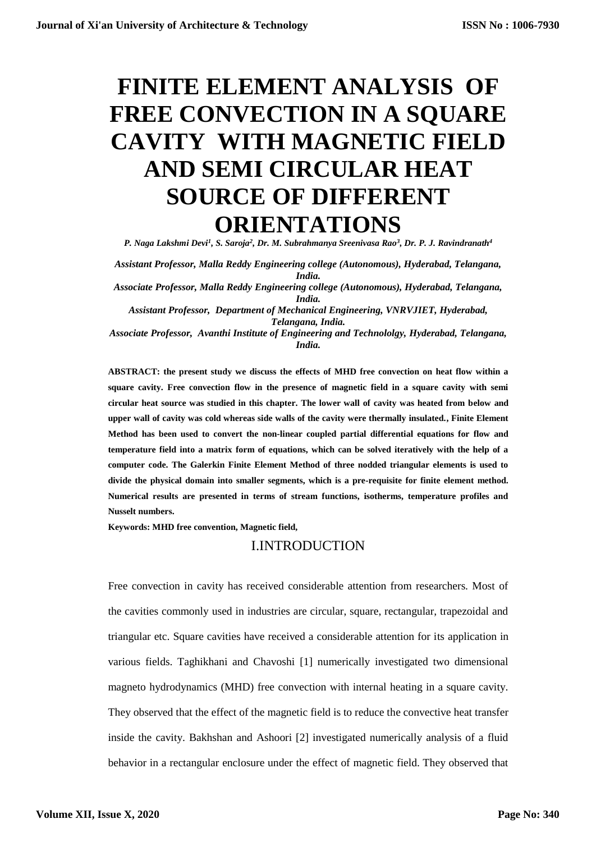# **FINITE ELEMENT ANALYSIS OF FREE CONVECTION IN A SQUARE CAVITY WITH MAGNETIC FIELD AND SEMI CIRCULAR HEAT SOURCE OF DIFFERENT ORIENTATIONS**

*P. Naga Lakshmi Devi<sup>1</sup> , S. Saroja<sup>2</sup> , Dr. M. Subrahmanya Sreenivasa Rao<sup>3</sup> , Dr. P. J. Ravindranath<sup>4</sup>*

*Assistant Professor, Malla Reddy Engineering college (Autonomous), Hyderabad, Telangana, India.*

*Associate Professor, Malla Reddy Engineering college (Autonomous), Hyderabad, Telangana, India.*

*Assistant Professor, Department of Mechanical Engineering, VNRVJIET, Hyderabad, Telangana, India.*

*Associate Professor, Avanthi Institute of Engineering and Technololgy, Hyderabad, Telangana, India.*

**ABSTRACT: the present study we discuss the effects of MHD free convection on heat flow within a square cavity. Free convection flow in the presence of magnetic field in a square cavity with semi circular heat source was studied in this chapter. The lower wall of cavity was heated from below and upper wall of cavity was cold whereas side walls of the cavity were thermally insulated., Finite Element Method has been used to convert the non-linear coupled partial differential equations for flow and temperature field into a matrix form of equations, which can be solved iteratively with the help of a computer code. The Galerkin Finite Element Method of three nodded triangular elements is used to divide the physical domain into smaller segments, which is a pre-requisite for finite element method. Numerical results are presented in terms of stream functions, isotherms, temperature profiles and Nusselt numbers.**

**Keywords: MHD free convention, Magnetic field,**

# I.INTRODUCTION

Free convection in cavity has received considerable attention from researchers. Most of the cavities commonly used in industries are circular, square, rectangular, trapezoidal and triangular etc. Square cavities have received a considerable attention for its application in various fields. Taghikhani and Chavoshi [1] numerically investigated two dimensional magneto hydrodynamics (MHD) free convection with internal heating in a square cavity. They observed that the effect of the magnetic field is to reduce the convective heat transfer inside the cavity. Bakhshan and Ashoori [2] investigated numerically analysis of a fluid behavior in a rectangular enclosure under the effect of magnetic field. They observed that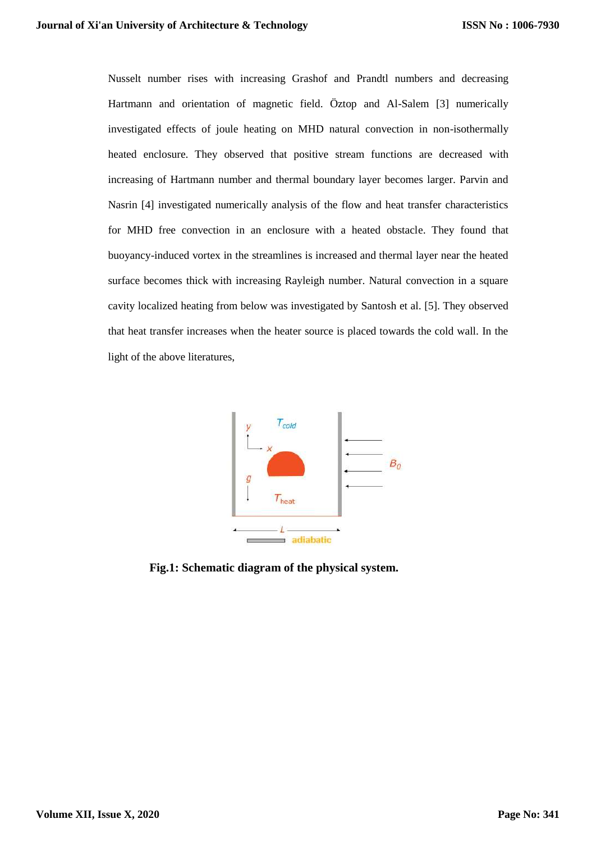Nusselt number rises with increasing Grashof and Prandtl numbers and decreasing Hartmann and orientation of magnetic field. Öztop and Al-Salem [3] numerically investigated effects of joule heating on MHD natural convection in non-isothermally heated enclosure. They observed that positive stream functions are decreased with increasing of Hartmann number and thermal boundary layer becomes larger. Parvin and Nasrin [4] investigated numerically analysis of the flow and heat transfer characteristics for MHD free convection in an enclosure with a heated obstacle. They found that buoyancy-induced vortex in the streamlines is increased and thermal layer near the heated surface becomes thick with increasing Rayleigh number. Natural convection in a square cavity localized heating from below was investigated by Santosh et al. [5]. They observed that heat transfer increases when the heater source is placed towards the cold wall. In the light of the above literatures,



**Fig.1: Schematic diagram of the physical system.**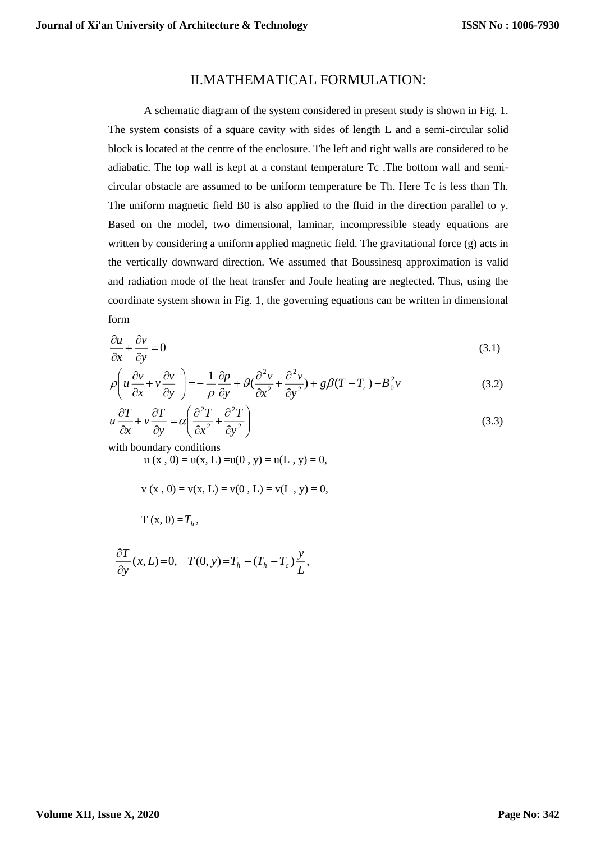## II.MATHEMATICAL FORMULATION:

A schematic diagram of the system considered in present study is shown in Fig. 1. The system consists of a square cavity with sides of length L and a semi-circular solid block is located at the centre of the enclosure. The left and right walls are considered to be adiabatic. The top wall is kept at a constant temperature Tc .The bottom wall and semicircular obstacle are assumed to be uniform temperature be Th. Here Tc is less than Th. The uniform magnetic field B0 is also applied to the fluid in the direction parallel to y. Based on the model, two dimensional, laminar, incompressible steady equations are written by considering a uniform applied magnetic field. The gravitational force (g) acts in the vertically downward direction. We assumed that Boussinesq approximation is valid and radiation mode of the heat transfer and Joule heating are neglected. Thus, using the coordinate system shown in Fig. 1, the governing equations can be written in dimensional form

$$
\frac{\partial u}{\partial x} + \frac{\partial v}{\partial y} = 0 \tag{3.1}
$$

$$
\rho \left( u \frac{\partial v}{\partial x} + v \frac{\partial v}{\partial y} \right) = -\frac{1}{\rho} \frac{\partial p}{\partial y} + \mathcal{G} \left( \frac{\partial^2 v}{\partial x^2} + \frac{\partial^2 v}{\partial y^2} \right) + g \beta (T - T_c) - B_0^2 v \tag{3.2}
$$

$$
u\frac{\partial T}{\partial x} + v\frac{\partial T}{\partial y} = \alpha \left(\frac{\partial^2 T}{\partial x^2} + \frac{\partial^2 T}{\partial y^2}\right)
$$
(3.3)

with boundary conditions

 $u(x, 0) = u(x, L) = u(0, y) = u(L, y) = 0,$ 

$$
v(x, 0) = v(x, L) = v(0, L) = v(L, y) = 0,
$$

$$
T(x, 0) = Th,
$$

$$
\frac{\partial T}{\partial y}(x,L)=0, \quad T(0,y)=T_h-(T_h-T_c)\frac{y}{L},
$$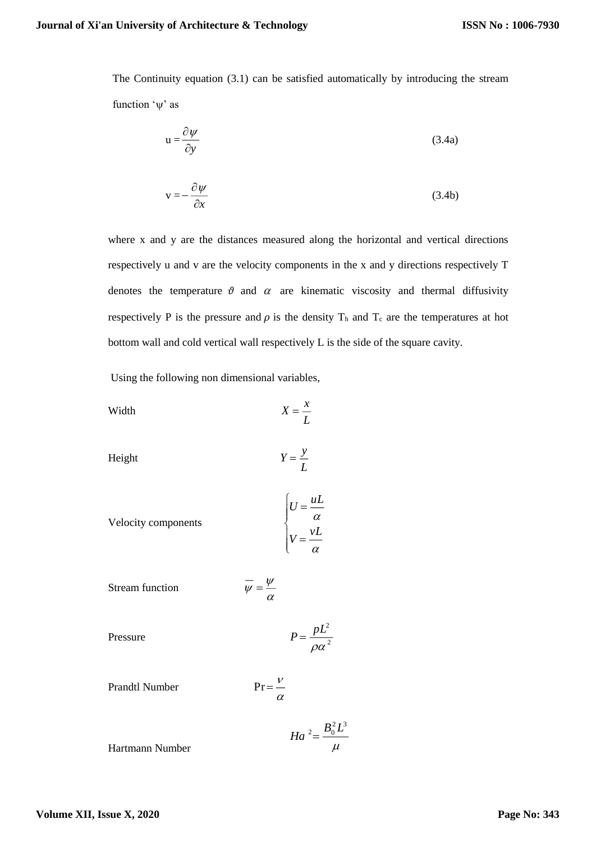The Continuity equation (3.1) can be satisfied automatically by introducing the stream function  $\psi$  as

$$
u = \frac{\partial \psi}{\partial y} \tag{3.4a}
$$

$$
v = -\frac{\partial \psi}{\partial x} \tag{3.4b}
$$

where x and y are the distances measured along the horizontal and vertical directions respectively u and v are the velocity components in the x and y directions respectively T denotes the temperature  $\vartheta$  and  $\alpha$  are kinematic viscosity and thermal diffusivity respectively P is the pressure and  $\rho$  is the density T<sub>h</sub> and T<sub>c</sub> are the temperatures at hot bottom wall and cold vertical wall respectively L is the side of the square cavity.

Using the following non dimensional variables,

$$
X = \frac{x}{L}
$$

Height 
$$
Y = \frac{y}{L}
$$

Velocity components 
$$
\begin{cases} U = \frac{uL}{\alpha} \\ V = \frac{vL}{\alpha} \end{cases}
$$

$$
\text{Stream function} \qquad \qquad \overline{\psi} = \frac{\psi}{\alpha}
$$

Pressure

$$
P = \frac{pL^2}{\rho \alpha^2}
$$

Prandtl Number 
$$
Pr = \frac{V}{\alpha}
$$

$$
Ha^2 = \frac{B_0^2 L^3}{\mu}
$$
 Hartmann Number

**Volume XII, Issue X, 2020**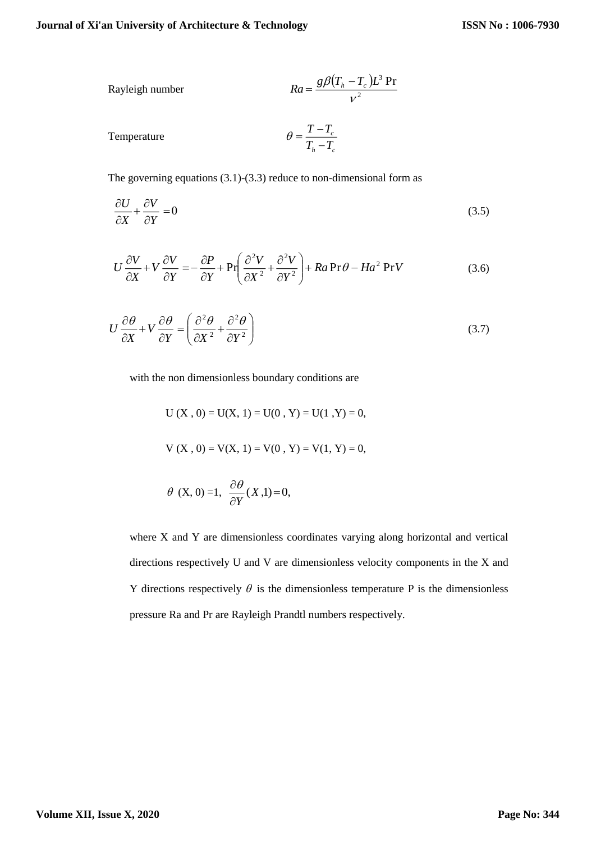Rayleigh number 
$$
Ra = \frac{g\beta (T_h - T_c)L^3 \text{ Pr}}{v^2}
$$

Temperature

$$
\theta = \frac{T - T_c}{T_h - T_c}
$$

The governing equations  $(3.1)-(3.3)$  reduce to non-dimensional form as

$$
\frac{\partial U}{\partial X} + \frac{\partial V}{\partial Y} = 0 \tag{3.5}
$$

$$
U\frac{\partial V}{\partial X} + V\frac{\partial V}{\partial Y} = -\frac{\partial P}{\partial Y} + \Pr\left(\frac{\partial^2 V}{\partial X^2} + \frac{\partial^2 V}{\partial Y^2}\right) + Ra \Pr \theta - Ha^2 \Pr V
$$
 (3.6)

$$
U\frac{\partial\theta}{\partial X} + V\frac{\partial\theta}{\partial Y} = \left(\frac{\partial^2\theta}{\partial X^2} + \frac{\partial^2\theta}{\partial Y^2}\right)
$$
(3.7)

with the non dimensionless boundary conditions are

 $U(X, 0) = U(X, 1) = U(0, Y) = U(1, Y) = 0,$  $V(X, 0) = V(X, 1) = V(0, Y) = V(1, Y) = 0,$  $\partial \theta$ 

$$
\theta
$$
 (X, 0) =1,  $\frac{\partial}{\partial Y}(X,1)=0$ ,

where X and Y are dimensionless coordinates varying along horizontal and vertical directions respectively U and V are dimensionless velocity components in the X and Y directions respectively  $\theta$  is the dimensionless temperature P is the dimensionless pressure Ra and Pr are Rayleigh Prandtl numbers respectively.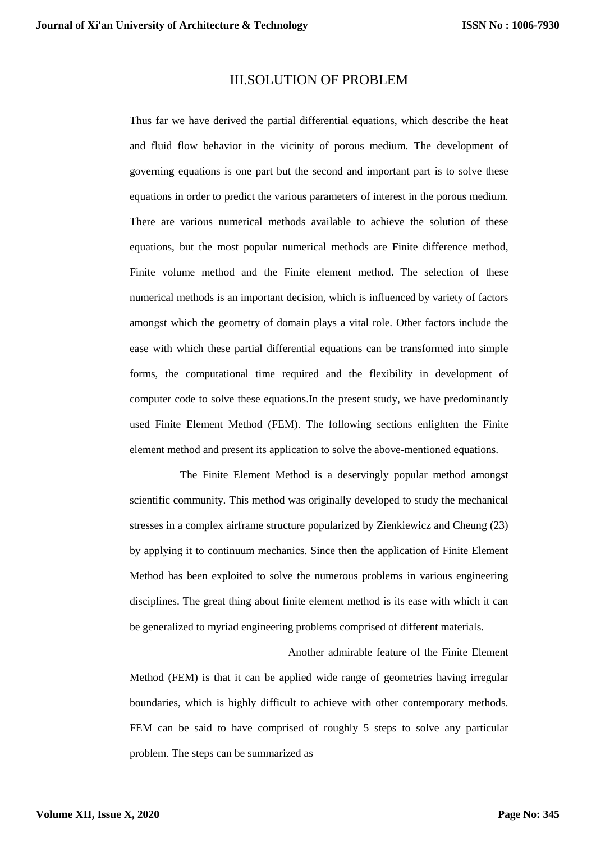### III.SOLUTION OF PROBLEM

Thus far we have derived the partial differential equations, which describe the heat and fluid flow behavior in the vicinity of porous medium. The development of governing equations is one part but the second and important part is to solve these equations in order to predict the various parameters of interest in the porous medium. There are various numerical methods available to achieve the solution of these equations, but the most popular numerical methods are Finite difference method, Finite volume method and the Finite element method. The selection of these numerical methods is an important decision, which is influenced by variety of factors amongst which the geometry of domain plays a vital role. Other factors include the ease with which these partial differential equations can be transformed into simple forms, the computational time required and the flexibility in development of computer code to solve these equations.In the present study, we have predominantly used Finite Element Method (FEM). The following sections enlighten the Finite element method and present its application to solve the above-mentioned equations.

The Finite Element Method is a deservingly popular method amongst scientific community. This method was originally developed to study the mechanical stresses in a complex airframe structure popularized by Zienkiewicz and Cheung (23) by applying it to continuum mechanics. Since then the application of Finite Element Method has been exploited to solve the numerous problems in various engineering disciplines. The great thing about finite element method is its ease with which it can be generalized to myriad engineering problems comprised of different materials.

Another admirable feature of the Finite Element Method (FEM) is that it can be applied wide range of geometries having irregular boundaries, which is highly difficult to achieve with other contemporary methods. FEM can be said to have comprised of roughly 5 steps to solve any particular problem. The steps can be summarized as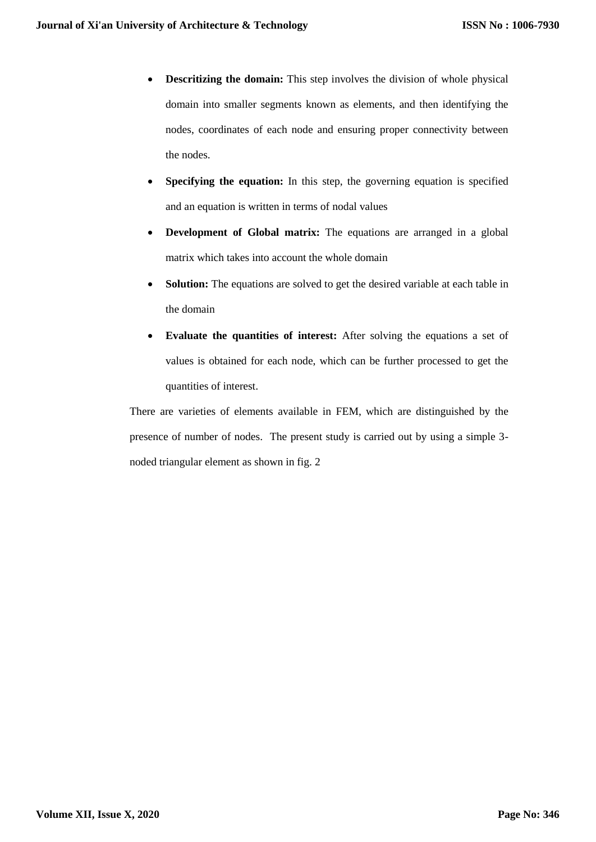- **Descritizing the domain:** This step involves the division of whole physical domain into smaller segments known as elements, and then identifying the nodes, coordinates of each node and ensuring proper connectivity between the nodes.
- **Specifying the equation:** In this step, the governing equation is specified and an equation is written in terms of nodal values
- **Development of Global matrix:** The equations are arranged in a global matrix which takes into account the whole domain
- **Solution:** The equations are solved to get the desired variable at each table in the domain
- **Evaluate the quantities of interest:** After solving the equations a set of values is obtained for each node, which can be further processed to get the quantities of interest.

There are varieties of elements available in FEM, which are distinguished by the presence of number of nodes. The present study is carried out by using a simple 3 noded triangular element as shown in fig. 2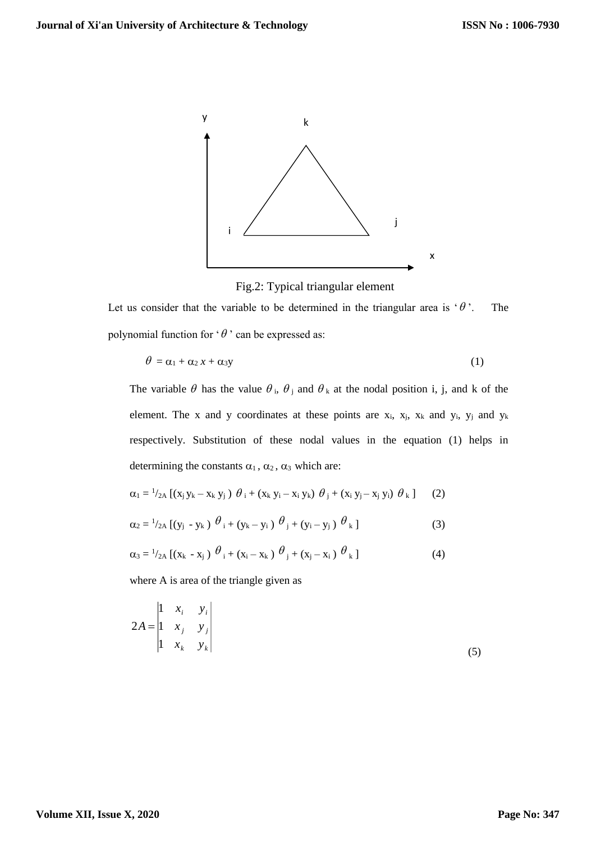

Fig.2: Typical triangular element

Let us consider that the variable to be determined in the triangular area is  $\theta$ '. The polynomial function for ' $\theta$ ' can be expressed as:

$$
\theta = \alpha_1 + \alpha_2 x + \alpha_3 y \tag{1}
$$

The variable  $\theta$  has the value  $\theta_i$ ,  $\theta_j$  and  $\theta_k$  at the nodal position i, j, and k of the element. The x and y coordinates at these points are  $x_i$ ,  $x_j$ ,  $x_k$  and  $y_i$ ,  $y_j$  and  $y_k$ respectively. Substitution of these nodal values in the equation (1) helps in determining the constants  $\alpha_1$ ,  $\alpha_2$ ,  $\alpha_3$  which are:

$$
\alpha_1 = \frac{1}{2} A \left[ (x_j y_k - x_k y_j) \theta_i + (x_k y_i - x_i y_k) \theta_j + (x_i y_j - x_j y_i) \theta_k \right] \qquad (2)
$$

$$
\alpha_2 = \frac{1}{2} A \left[ (y_j - y_k) \theta_i + (y_k - y_i) \theta_j + (y_i - y_j) \theta_k \right]
$$
 (3)

$$
\alpha_3 = \frac{1}{2} \left[ (x_k - x_j) \theta_i + (x_i - x_k) \theta_j + (x_j - x_i) \theta_k \right]
$$
 (4)

where A is area of the triangle given as

$$
2A = \begin{vmatrix} 1 & x_i & y_i \\ 1 & x_j & y_j \\ 1 & x_k & y_k \end{vmatrix}
$$
 (5)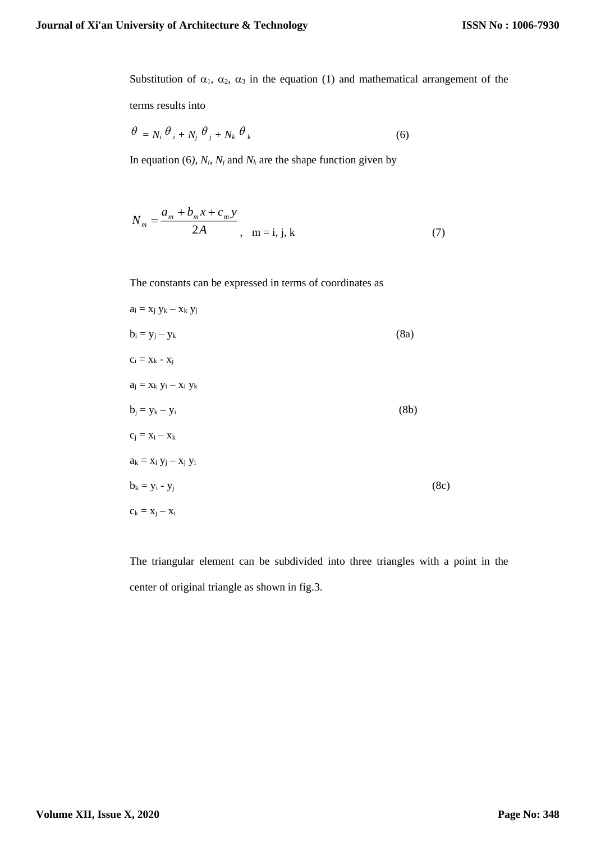Substitution of  $\alpha_1$ ,  $\alpha_2$ ,  $\alpha_3$  in the equation (1) and mathematical arrangement of the

terms results into

$$
\theta = N_i \theta_i + N_j \theta_j + N_k \theta_k \tag{6}
$$

In equation (6),  $N_i$ ,  $N_j$  and  $N_k$  are the shape function given by

$$
N_m = \frac{a_m + b_m x + c_m y}{2A}, \quad m = i, j, k \tag{7}
$$

The constants can be expressed in terms of coordinates as

$$
a_i = x_j y_k - x_k y_j
$$
  
\n
$$
b_i = y_j - y_k
$$
  
\n
$$
c_i = x_k - x_j
$$
  
\n
$$
a_j = x_k y_i - x_i y_k
$$
  
\n
$$
b_j = y_k - y_i
$$
  
\n
$$
c_j = x_i - x_k
$$
  
\n
$$
a_k = x_i y_j - x_j y_i
$$
  
\n
$$
b_k = y_i - y_j
$$
  
\n(8c)  
\n
$$
c_k = x_j - x_i
$$

The triangular element can be subdivided into three triangles with a point in the center of original triangle as shown in fig.3.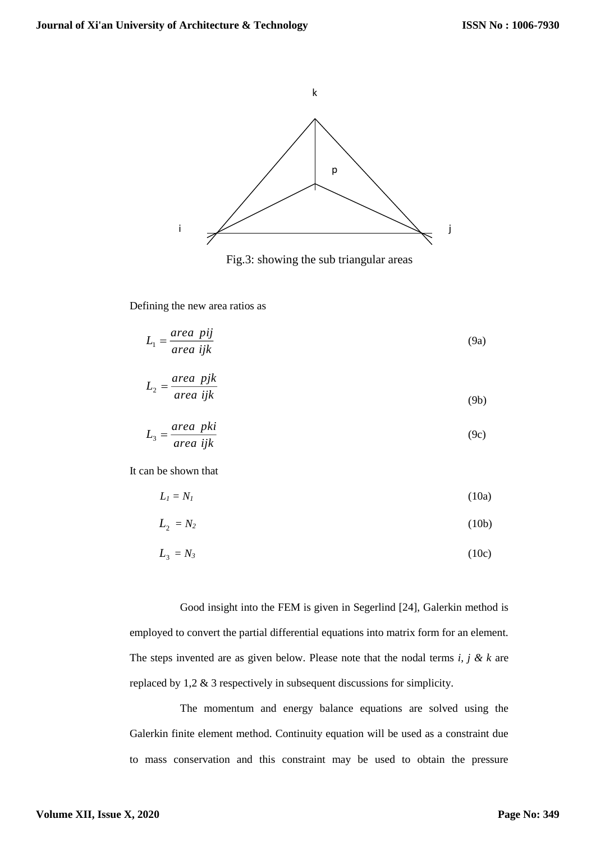

Fig.3: showing the sub triangular areas

Defining the new area ratios as

$$
L_1 = \frac{area\ \ pij}{area\ ijk} \tag{9a}
$$

$$
L_2 = \frac{area\ \ pjk}{area\ ijk} \tag{9b}
$$

$$
L_3 = \frac{area\ pki}{area\ ijk} \tag{9c}
$$

It can be shown that

$$
L_l = N_l \tag{10a}
$$

$$
L_2 = N_2 \tag{10b}
$$

$$
L_3 = N_3 \tag{10c}
$$

Good insight into the FEM is given in Segerlind [24], Galerkin method is employed to convert the partial differential equations into matrix form for an element. The steps invented are as given below. Please note that the nodal terms *i, j & k* are replaced by 1,2 & 3 respectively in subsequent discussions for simplicity.

The momentum and energy balance equations are solved using the Galerkin finite element method. Continuity equation will be used as a constraint due to mass conservation and this constraint may be used to obtain the pressure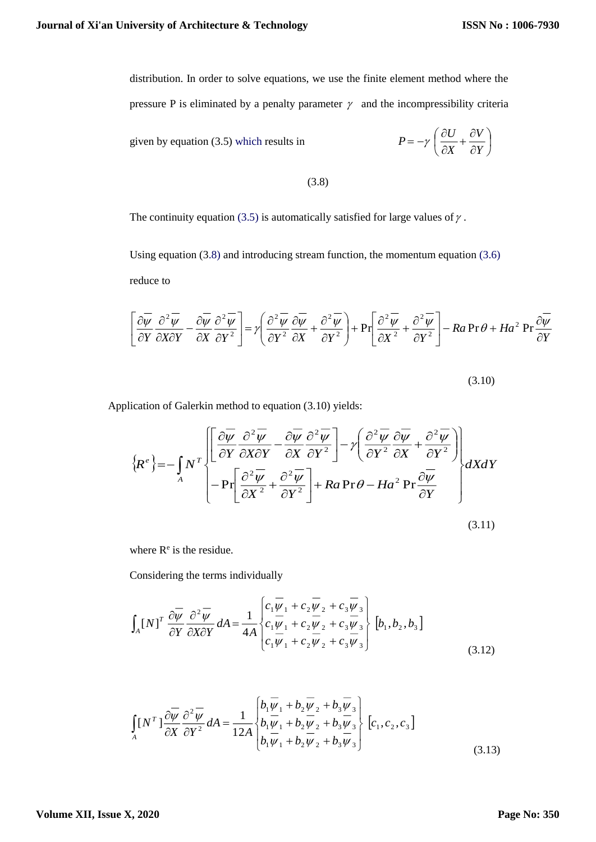distribution. In order to solve equations, we use the finite element method where the pressure P is eliminated by a penalty parameter  $\gamma$  and the incompressibility criteria

given by equation (3.5) which results in

$$
P = -\gamma \left( \frac{\partial U}{\partial X} + \frac{\partial V}{\partial Y} \right)
$$

(3.8)

The continuity equation (3.5) is automatically satisfied for large values of  $\gamma$ .

Using equation (3.8) and introducing stream function, the momentum equation (3.6) reduce to

$$
\left[\frac{\partial \overline{\psi}}{\partial Y} \frac{\partial^2 \overline{\psi}}{\partial X \partial Y} - \frac{\partial \overline{\psi}}{\partial X} \frac{\partial^2 \overline{\psi}}{\partial Y^2}\right] = \gamma \left(\frac{\partial^2 \overline{\psi}}{\partial Y^2} \frac{\partial \overline{\psi}}{\partial X} + \frac{\partial^2 \overline{\psi}}{\partial Y^2}\right) + \Pr\left[\frac{\partial^2 \overline{\psi}}{\partial X^2} + \frac{\partial^2 \overline{\psi}}{\partial Y^2}\right] - Ra \Pr \theta + Ha^2 \Pr \frac{\partial \overline{\psi}}{\partial Y}
$$

(3.10)

Application of Galerkin method to equation (3.10) yields:

$$
\{R^e\} = -\int_A N^T \left\{ \left[ \frac{\partial \overline{\psi}}{\partial Y} \frac{\partial^2 \overline{\psi}}{\partial X \partial Y} - \frac{\partial \overline{\psi}}{\partial X} \frac{\partial^2 \overline{\psi}}{\partial Y^2} \right] - \gamma \left( \frac{\partial^2 \overline{\psi}}{\partial Y^2} \frac{\partial \overline{\psi}}{\partial X} + \frac{\partial^2 \overline{\psi}}{\partial Y^2} \right) \right\} dX dY
$$
\n
$$
- \Pr \left[ \frac{\partial^2 \overline{\psi}}{\partial X^2} + \frac{\partial^2 \overline{\psi}}{\partial Y^2} \right] + Ra \Pr \theta - H a^2 \Pr \frac{\partial \overline{\psi}}{\partial Y}
$$
\n(3.11)

where  $R^e$  is the residue.

Considering the terms individually

$$
\int_{A} [N]^T \frac{\partial \overline{\psi}}{\partial Y} \frac{\partial^2 \overline{\psi}}{\partial X \partial Y} dA = \frac{1}{4A} \begin{cases} c_1 \overline{\psi}_1 + c_2 \overline{\psi}_2 + c_3 \overline{\psi}_3 \\ c_1 \overline{\psi}_1 + c_2 \overline{\psi}_2 + c_3 \overline{\psi}_3 \\ c_1 \overline{\psi}_1 + c_2 \overline{\psi}_2 + c_3 \overline{\psi}_3 \end{cases} [b_1, b_2, b_3]
$$
(3.12)

$$
\int_{A} [N^{T}] \frac{\partial \overline{\psi}}{\partial X} \frac{\partial^{2} \overline{\psi}}{\partial Y^{2}} dA = \frac{1}{12A} \begin{bmatrix} b_{1} \overline{\psi}_{1} + b_{2} \overline{\psi}_{2} + b_{3} \overline{\psi}_{3} \\ b_{1} \overline{\psi}_{1} + b_{2} \overline{\psi}_{2} + b_{3} \overline{\psi}_{3} \\ b_{1} \overline{\psi}_{1} + b_{2} \overline{\psi}_{2} + b_{3} \overline{\psi}_{3} \end{bmatrix} [c_{1}, c_{2}, c_{3}]
$$
\n(3.13)

#### **Volume XII, Issue X, 2020**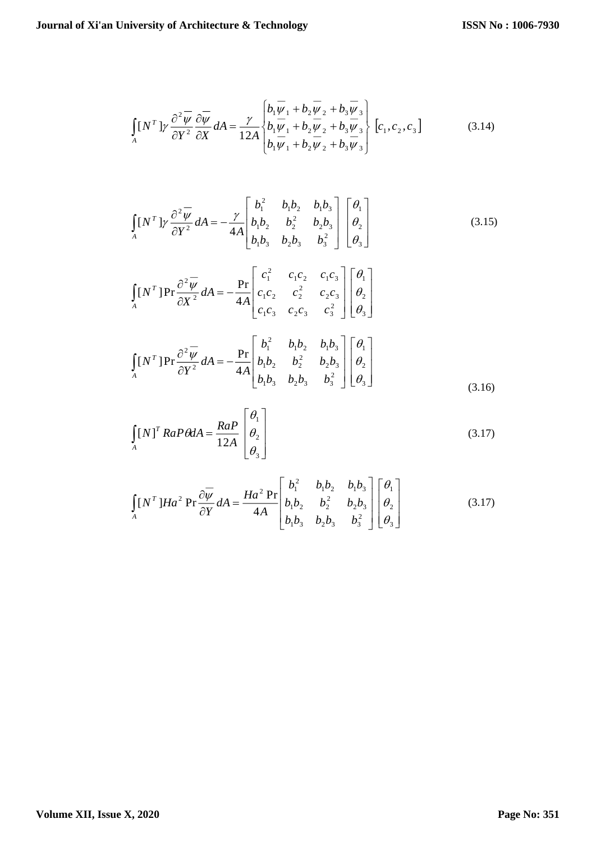$$
\int_{A} [N^T] \gamma \frac{\partial^2 \overline{\psi}}{\partial Y^2} \frac{\partial \overline{\psi}}{\partial X} dA = \frac{\gamma}{12A} \begin{cases} b_1 \overline{\psi}_1 + b_2 \overline{\psi}_2 + b_3 \overline{\psi}_3 \\ b_1 \overline{\psi}_1 + b_2 \overline{\psi}_2 + b_3 \overline{\psi}_3 \\ b_1 \overline{\psi}_1 + b_2 \overline{\psi}_2 + b_3 \overline{\psi}_3 \end{cases} [c_1, c_2, c_3]
$$
(3.14)

$$
\int_{A} [N^{T}] \gamma \frac{\partial^{2} \overline{\psi}}{\partial Y^{2}} dA = -\frac{\gamma}{4A} \begin{bmatrix} b_{1}^{2} & b_{1}b_{2} & b_{1}b_{3} \\ b_{1}b_{2} & b_{2}^{2} & b_{2}b_{3} \\ b_{1}b_{3} & b_{2}b_{3} & b_{3}^{2} \end{bmatrix} \begin{bmatrix} \theta_{1} \\ \theta_{2} \\ \theta_{3} \end{bmatrix}
$$
(3.15)

$$
\int_{A} [N^{T}] Pr \frac{\partial^{2} \overline{\psi}}{\partial X^{2}} dA = -\frac{Pr}{4A} \begin{bmatrix} c_{1}^{2} & c_{1}c_{2} & c_{1}c_{3} \\ c_{1}c_{2} & c_{2}^{2} & c_{2}c_{3} \\ c_{1}c_{3} & c_{2}c_{3} & c_{3}^{2} \end{bmatrix} \begin{bmatrix} \theta_{1} \\ \theta_{2} \\ \theta_{3} \end{bmatrix}
$$

$$
\int_{A} [N^{T}] Pr \frac{\partial^{2} \overline{\psi}}{\partial Y^{2}} dA = -\frac{Pr}{4A} \begin{bmatrix} b_{1}^{2} & b_{1}b_{2} & b_{1}b_{3} \\ b_{1}b_{2} & b_{2}^{2} & b_{2}b_{3} \\ b_{1}b_{3} & b_{2}b_{3} & b_{3}^{2} \end{bmatrix} \begin{bmatrix} \theta_{1} \\ \theta_{2} \\ \theta_{3} \end{bmatrix}
$$
(3.16)

$$
\int_{A} [N]^T R a P \theta dA = \frac{RaP}{12A} \begin{bmatrix} \theta_1 \\ \theta_2 \\ \theta_3 \end{bmatrix}
$$
\n(3.17)

$$
\int_{A} [N^{T}] Ha^{2} \Pr \frac{\partial \overline{\psi}}{\partial Y} dA = \frac{Ha^{2} \Pr}{4A} \begin{bmatrix} b_{1}^{2} & b_{1}b_{2} & b_{1}b_{3} \\ b_{1}b_{2} & b_{2}^{2} & b_{2}b_{3} \\ b_{1}b_{3} & b_{2}b_{3} & b_{3}^{2} \end{bmatrix} \begin{bmatrix} \theta_{1} \\ \theta_{2} \\ \theta_{3} \end{bmatrix}
$$
(3.17)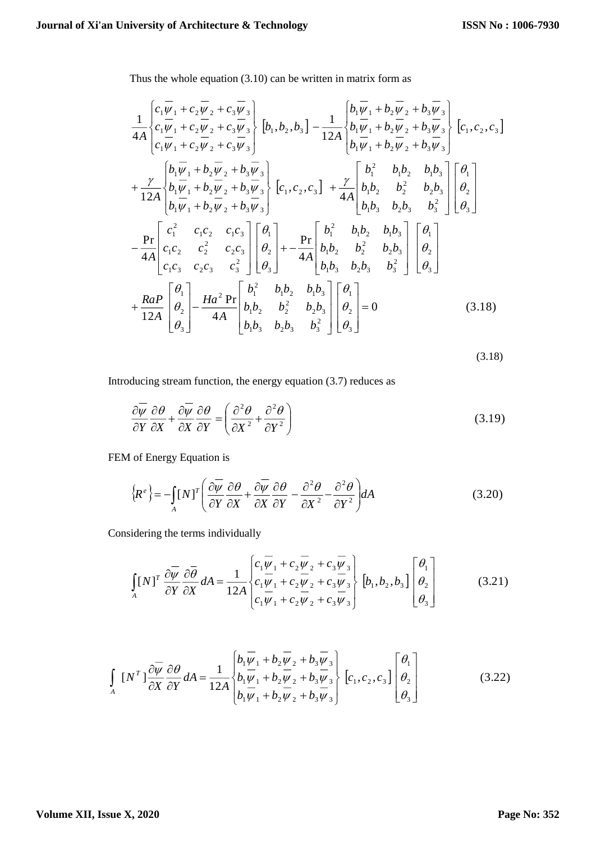Thus the whole equation (3.10) can be written in matrix form as

$$
\frac{1}{4A} \begin{bmatrix} c_1 \overline{\psi}_1 + c_2 \overline{\psi}_2 + c_3 \overline{\psi}_3 \\ c_1 \overline{\psi}_1 + c_2 \overline{\psi}_2 + c_3 \overline{\psi}_3 \\ c_1 \overline{\psi}_1 + c_2 \overline{\psi}_2 + c_3 \overline{\psi}_3 \end{bmatrix} \begin{bmatrix} b_1, b_2, b_3 \end{bmatrix} - \frac{1}{12A} \begin{bmatrix} b_1 \overline{\psi}_1 + b_2 \overline{\psi}_2 + b_3 \overline{\psi}_3 \\ b_1 \overline{\psi}_1 + b_2 \overline{\psi}_2 + b_3 \overline{\psi}_3 \\ b_1 \overline{\psi}_1 + b_2 \overline{\psi}_2 + b_3 \overline{\psi}_3 \end{bmatrix} \begin{bmatrix} c_1, c_2, c_3 \end{bmatrix}
$$
  
+ 
$$
\frac{\gamma}{12A} \begin{bmatrix} b_1 \overline{\psi}_1 + b_2 \overline{\psi}_2 + b_3 \overline{\psi}_3 \\ b_1 \overline{\psi}_1 + b_2 \overline{\psi}_2 + b_3 \overline{\psi}_3 \\ b_1 \overline{\psi}_1 + b_2 \overline{\psi}_2 + b_3 \overline{\psi}_3 \end{bmatrix} \begin{bmatrix} c_1, c_2, c_3 \end{bmatrix} + \frac{\gamma}{4A} \begin{bmatrix} b_1^2 & b_1b_2 & b_1b_3 \\ b_1b_2 & b_2^2 & b_2b_3 \\ b_1b_3 & b_2b_3 & b_3^2 \end{bmatrix} \begin{bmatrix} \theta_1 \\ \theta_2 \\ \theta_3 \end{bmatrix}
$$
  
- 
$$
\frac{\text{Pr}}{4A} \begin{bmatrix} c_1^2 & c_1c_2 & c_1c_3 \\ c_1c_2 & c_2^2 & c_2c_3 \\ c_1c_3 & c_2c_3 & c_3^2 \end{bmatrix} \begin{bmatrix} \theta_1 \\ \theta_2 \\ \theta_3 \end{bmatrix} + - \frac{\text{Pr}}{4A} \begin{bmatrix} b_1^2 & b_1b_2 & b_1b_3 \\ b_1b_2 & b_2^2 & b_2b_3 \\ b_1b_3 & b_2b_3 & b_3^2 \end{bmatrix} \begin{bmatrix} \theta_1 \\ \theta_2 \\ \theta
$$

(3.18)

Introducing stream function, the energy equation (3.7) reduces as

$$
\frac{\partial \overline{\psi}}{\partial Y} \frac{\partial \theta}{\partial X} + \frac{\partial \overline{\psi}}{\partial X} \frac{\partial \theta}{\partial Y} = \left( \frac{\partial^2 \theta}{\partial X^2} + \frac{\partial^2 \theta}{\partial Y^2} \right)
$$
(3.19)

FEM of Energy Equation is

$$
\left\{R^e\right\} = -\int_A [N]^T \left(\frac{\partial \overline{\psi}}{\partial Y} \frac{\partial \theta}{\partial X} + \frac{\partial \overline{\psi}}{\partial X} \frac{\partial \theta}{\partial Y} - \frac{\partial^2 \theta}{\partial X^2} - \frac{\partial^2 \theta}{\partial Y^2}\right) dA\tag{3.20}
$$

Considering the terms individually

$$
\int_A [N]^T \frac{\partial \overline{\psi}}{\partial Y} \frac{\partial \overline{\theta}}{\partial X} dA = \frac{1}{12A} \begin{bmatrix} c_1 \overline{\psi}_1 + c_2 \overline{\psi}_2 + c_3 \overline{\psi}_3 \\ c_1 \overline{\psi}_1 + c_2 \overline{\psi}_2 + c_3 \overline{\psi}_3 \\ c_1 \overline{\psi}_1 + c_2 \overline{\psi}_2 + c_3 \overline{\psi}_3 \end{bmatrix} \begin{bmatrix} \theta_1 \\ \theta_2 \\ \theta_3 \end{bmatrix}
$$
(3.21)

$$
\int_{A} \left[N^{T}\right] \frac{\partial \overline{\psi}}{\partial X} \frac{\partial \theta}{\partial Y} dA = \frac{1}{12A} \begin{bmatrix} b_{1} \overline{\psi}_{1} + b_{2} \overline{\psi}_{2} + b_{3} \overline{\psi}_{3} \\ b_{1} \overline{\psi}_{1} + b_{2} \overline{\psi}_{2} + b_{3} \overline{\psi}_{3} \\ b_{1} \overline{\psi}_{1} + b_{2} \overline{\psi}_{2} + b_{3} \overline{\psi}_{3} \end{bmatrix} \begin{bmatrix} \theta_{1} \\ \theta_{2} \\ \theta_{3} \end{bmatrix}
$$
(3.22)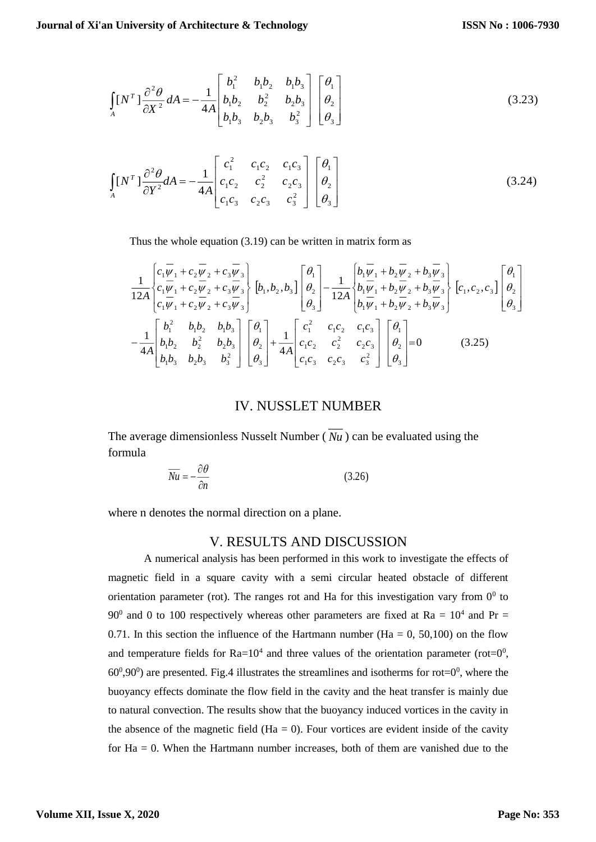$$
\int_{A} [N^{T}] \frac{\partial^{2} \theta}{\partial X^{2}} dA = -\frac{1}{4A} \begin{bmatrix} b_{1}^{2} & b_{1}b_{2} & b_{1}b_{3} \\ b_{1}b_{2} & b_{2}^{2} & b_{2}b_{3} \\ b_{1}b_{3} & b_{2}b_{3} & b_{3}^{2} \end{bmatrix} \begin{bmatrix} \theta_{1} \\ \theta_{2} \\ \theta_{3} \end{bmatrix}
$$
(3.23)

$$
\int_{A} [N^{T}] \frac{\partial^{2} \theta}{\partial Y^{2}} dA = -\frac{1}{4A} \begin{bmatrix} c_{1}^{2} & c_{1}c_{2} & c_{1}c_{3} \\ c_{1}c_{2} & c_{2}^{2} & c_{2}c_{3} \\ c_{1}c_{3} & c_{2}c_{3} & c_{3}^{2} \end{bmatrix} \begin{bmatrix} \theta_{1} \\ \theta_{2} \\ \theta_{3} \end{bmatrix}
$$
(3.24)

Thus the whole equation (3.19) can be written in matrix form as

$$
\frac{1}{12A} \begin{bmatrix} c_1 \overline{\psi}_1 + c_2 \overline{\psi}_2 + c_3 \overline{\psi}_3 \\ c_1 \overline{\psi}_1 + c_2 \overline{\psi}_2 + c_3 \overline{\psi}_3 \\ c_1 \overline{\psi}_1 + c_2 \overline{\psi}_2 + c_3 \overline{\psi}_3 \end{bmatrix} \begin{bmatrix} b_1, b_2, b_3 \end{bmatrix} \begin{bmatrix} \theta_1 \\ \theta_2 \\ \theta_3 \end{bmatrix} - \frac{1}{12A} \begin{bmatrix} b_1 \overline{\psi}_1 + b_2 \overline{\psi}_2 + b_3 \overline{\psi}_3 \\ b_1 \overline{\psi}_1 + b_2 \overline{\psi}_2 + b_3 \overline{\psi}_3 \\ b_1 \overline{\psi}_1 + b_2 \overline{\psi}_2 + b_3 \overline{\psi}_3 \end{bmatrix} \begin{bmatrix} c_1, c_2, c_3 \end{bmatrix} \begin{bmatrix} \theta_1 \\ \theta_2 \\ \theta_3 \end{bmatrix} - \frac{1}{4A} \begin{bmatrix} b_1^2 & b_1 b_2 & b_1 b_3 \\ b_1 b_2 & b_2^2 & b_2 b_3 \\ b_1 b_3 & b_2 b_3 & b_3^2 \end{bmatrix} \begin{bmatrix} \theta_1 \\ \theta_2 \\ \theta_3 \end{bmatrix} + \frac{1}{4A} \begin{bmatrix} c_1^2 & c_1 c_2 & c_1 c_3 \\ c_1 c_2 & c_2^2 & c_2 c_3 \\ c_1 c_3 & c_2 c_3 & c_3^2 \end{bmatrix} \begin{bmatrix} \theta_1 \\ \theta_2 \\ \theta_3 \end{bmatrix} = 0 \qquad (3.25)
$$

## IV. NUSSLET NUMBER

The average dimensionless Nusselt Number ( *Nu* ) can be evaluated using the formula

$$
\overline{Nu} = -\frac{\partial \theta}{\partial n} \tag{3.26}
$$

where n denotes the normal direction on a plane.

## V. RESULTS AND DISCUSSION

A numerical analysis has been performed in this work to investigate the effects of magnetic field in a square cavity with a semi circular heated obstacle of different orientation parameter (rot). The ranges rot and Ha for this investigation vary from  $0^0$  to 90<sup>0</sup> and 0 to 100 respectively whereas other parameters are fixed at Ra =  $10^4$  and Pr = 0.71. In this section the influence of the Hartmann number (Ha  $= 0$ , 50,100) on the flow and temperature fields for  $Ra=10^4$  and three values of the orientation parameter (rot= $0^0$ ,  $60^{\circ}, 90^{\circ}$ ) are presented. Fig.4 illustrates the streamlines and isotherms for rot= $0^{\circ}$ , where the buoyancy effects dominate the flow field in the cavity and the heat transfer is mainly due to natural convection. The results show that the buoyancy induced vortices in the cavity in the absence of the magnetic field ( $Ha = 0$ ). Four vortices are evident inside of the cavity for  $Ha = 0$ . When the Hartmann number increases, both of them are vanished due to the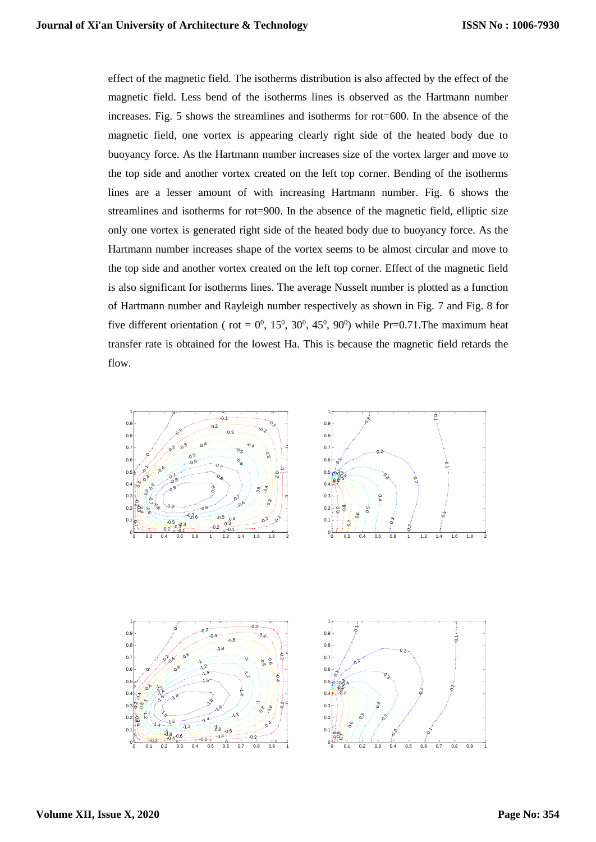effect of the magnetic field. The isotherms distribution is also affected by the effect of the magnetic field. Less bend of the isotherms lines is observed as the Hartmann number increases. Fig. 5 shows the streamlines and isotherms for rot=600. In the absence of the magnetic field, one vortex is appearing clearly right side of the heated body due to buoyancy force. As the Hartmann number increases size of the vortex larger and move to the top side and another vortex created on the left top corner. Bending of the isotherms lines are a lesser amount of with increasing Hartmann number. Fig. 6 shows the streamlines and isotherms for rot=900. In the absence of the magnetic field, elliptic size only one vortex is generated right side of the heated body due to buoyancy force. As the Hartmann number increases shape of the vortex seems to be almost circular and move to the top side and another vortex created on the left top corner. Effect of the magnetic field is also significant for isotherms lines. The average Nusselt number is plotted as a function of Hartmann number and Rayleigh number respectively as shown in Fig. 7 and Fig. 8 for five different orientation (rot =  $0^0$ , 15<sup>0</sup>, 30<sup>0</sup>, 45<sup>0</sup>, 90<sup>0</sup>) while Pr=0.71. The maximum heat transfer rate is obtained for the lowest Ha. This is because the magnetic field retards the flow.

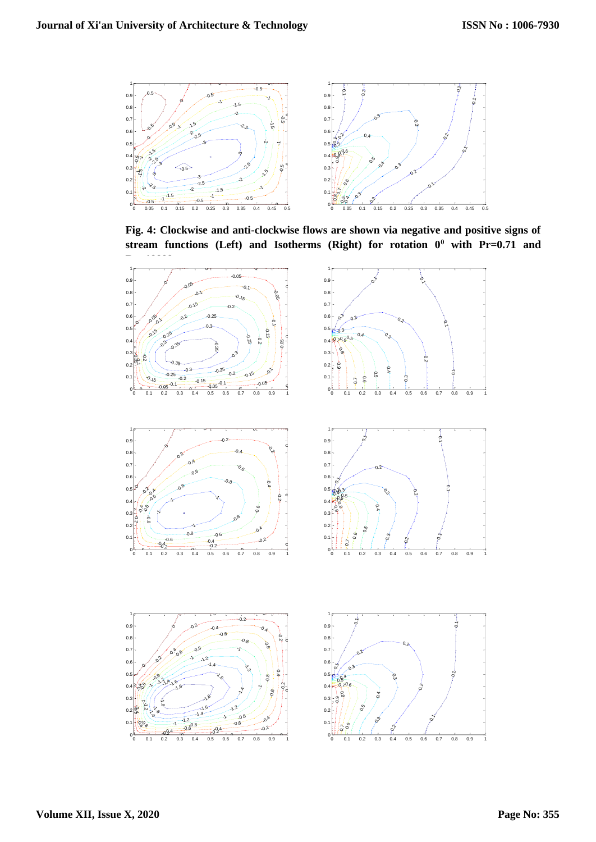

**Fig. 4: Clockwise and anti-clockwise flows are shown via negative and positive signs of**  stream functions (Left) and Isotherms (Right) for rotation  $0^0$  with Pr=0.71 and

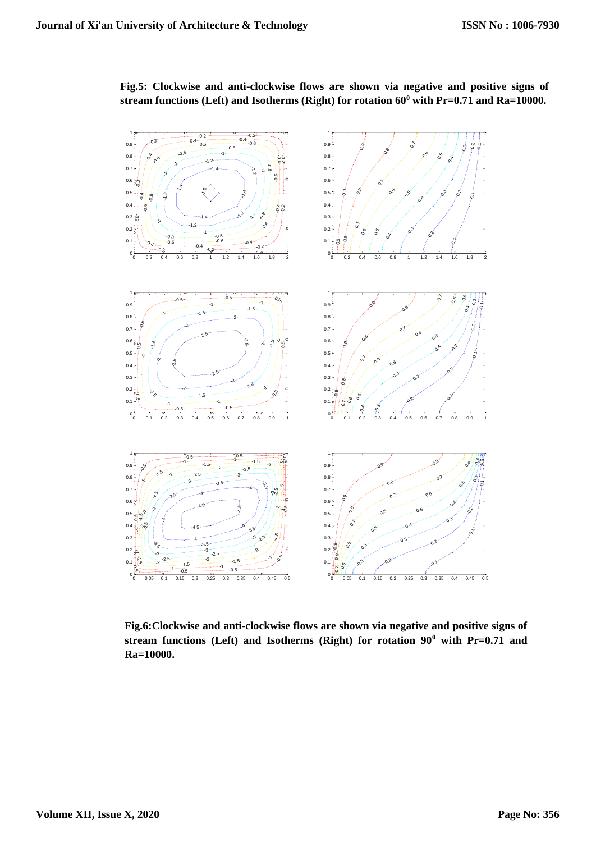

**Fig.5: Clockwise and anti-clockwise flows are shown via negative and positive signs of stream functions (Left) and Isotherms (Right) for rotation 60<sup>0</sup> with Pr=0.71 and Ra=10000.**

**Fig.6:Clockwise and anti-clockwise flows are shown via negative and positive signs of stream functions (Left) and Isotherms (Right) for rotation 90<sup>0</sup> with Pr=0.71 and Ra=10000.**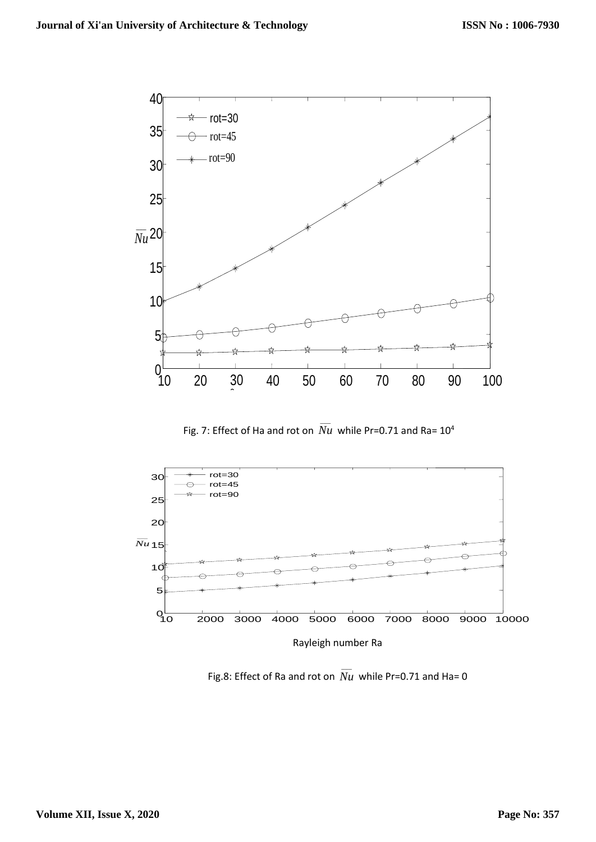

Fig. 7: Effect of Ha and rot on  $\overline{\overline{Nu}}$  while Pr=0.71 and Ra= 10<sup>4</sup>



Fig.8: Effect of Ra and rot on  $\overline{Nu}$  while Pr=0.71 and Ha= 0